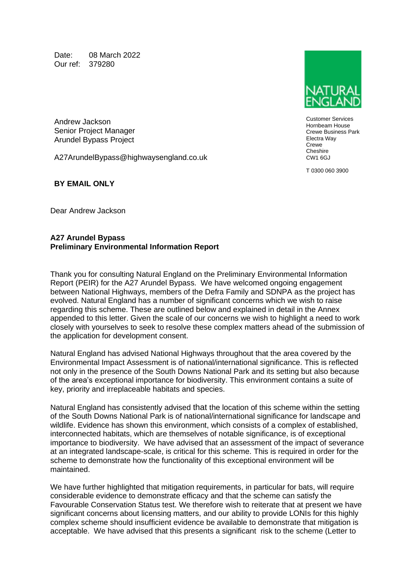Date: 08 March 2022 Our ref: 379280

Andrew Jackson Senior Project Manager Arundel Bypass Project

A27ArundelBypass@highwaysengland.co.uk

Customer Services Hornbeam House Crewe Business Park Electra Way Crewe Cheshire CW1 6GJ

T 0300 060 3900

**BY EMAIL ONLY**

Dear Andrew Jackson

### **A27 Arundel Bypass Preliminary Environmental Information Report**

Thank you for consulting Natural England on the Preliminary Environmental Information Report (PEIR) for the A27 Arundel Bypass. We have welcomed ongoing engagement between National Highways, members of the Defra Family and SDNPA as the project has evolved. Natural England has a number of significant concerns which we wish to raise regarding this scheme. These are outlined below and explained in detail in the Annex appended to this letter. Given the scale of our concerns we wish to highlight a need to work closely with yourselves to seek to resolve these complex matters ahead of the submission of the application for development consent.

Natural England has advised National Highways throughout that the area covered by the Environmental Impact Assessment is of national/international significance. This is reflected not only in the presence of the South Downs National Park and its setting but also because of the area's exceptional importance for biodiversity. This environment contains a suite of key, priority and irreplaceable habitats and species.

Natural England has consistently advised that the location of this scheme within the setting of the South Downs National Park is of national/international significance for landscape and wildlife. Evidence has shown this environment, which consists of a complex of established, interconnected habitats, which are themselves of notable significance, is of exceptional importance to biodiversity. We have advised that an assessment of the impact of severance at an integrated landscape-scale, is critical for this scheme. This is required in order for the scheme to demonstrate how the functionality of this exceptional environment will be maintained.

We have further highlighted that mitigation requirements, in particular for bats, will require considerable evidence to demonstrate efficacy and that the scheme can satisfy the Favourable Conservation Status test. We therefore wish to reiterate that at present we have significant concerns about licensing matters, and our ability to provide LONIs for this highly complex scheme should insufficient evidence be available to demonstrate that mitigation is acceptable. We have advised that this presents a significant risk to the scheme (Letter to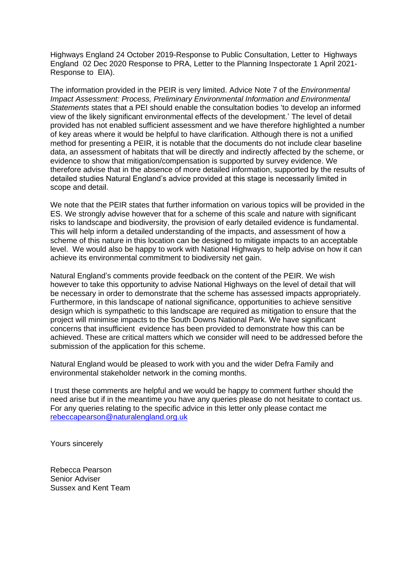Highways England 24 October 2019-Response to Public Consultation, Letter to Highways England 02 Dec 2020 Response to PRA, Letter to the Planning Inspectorate 1 April 2021- Response to EIA).

The information provided in the PEIR is very limited. Advice Note 7 of the *Environmental Impact Assessment: Process, Preliminary Environmental Information and Environmental Statements* states that a PEI should enable the consultation bodies 'to develop an informed view of the likely significant environmental effects of the development.' The level of detail provided has not enabled sufficient assessment and we have therefore highlighted a number of key areas where it would be helpful to have clarification. Although there is not a unified method for presenting a PEIR, it is notable that the documents do not include clear baseline data, an assessment of habitats that will be directly and indirectly affected by the scheme, or evidence to show that mitigation/compensation is supported by survey evidence. We therefore advise that in the absence of more detailed information, supported by the results of detailed studies Natural England's advice provided at this stage is necessarily limited in scope and detail.

We note that the PEIR states that further information on various topics will be provided in the ES. We strongly advise however that for a scheme of this scale and nature with significant risks to landscape and biodiversity, the provision of early detailed evidence is fundamental. This will help inform a detailed understanding of the impacts, and assessment of how a scheme of this nature in this location can be designed to mitigate impacts to an acceptable level. We would also be happy to work with National Highways to help advise on how it can achieve its environmental commitment to biodiversity net gain.

Natural England's comments provide feedback on the content of the PEIR. We wish however to take this opportunity to advise National Highways on the level of detail that will be necessary in order to demonstrate that the scheme has assessed impacts appropriately. Furthermore, in this landscape of national significance, opportunities to achieve sensitive design which is sympathetic to this landscape are required as mitigation to ensure that the project will minimise impacts to the South Downs National Park. We have significant concerns that insufficient evidence has been provided to demonstrate how this can be achieved. These are critical matters which we consider will need to be addressed before the submission of the application for this scheme.

Natural England would be pleased to work with you and the wider Defra Family and environmental stakeholder network in the coming months.

I trust these comments are helpful and we would be happy to comment further should the need arise but if in the meantime you have any queries please do not hesitate to contact us. For any queries relating to the specific advice in this letter only please contact me [rebeccapearson@naturalengland.org.uk](mailto:xxxxxxxxxxxxxx@xxxxxxxxxxxxxx.xxx.xx)

Yours sincerely

Rebecca Pearson Senior Adviser Sussex and Kent Team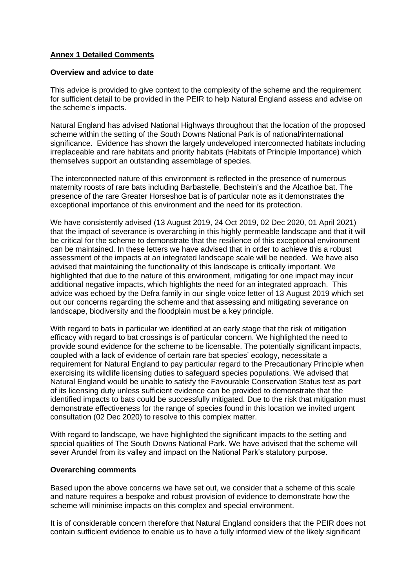# **Annex 1 Detailed Comments**

### **Overview and advice to date**

This advice is provided to give context to the complexity of the scheme and the requirement for sufficient detail to be provided in the PEIR to help Natural England assess and advise on the scheme's impacts.

Natural England has advised National Highways throughout that the location of the proposed scheme within the setting of the South Downs National Park is of national/international significance. Evidence has shown the largely undeveloped interconnected habitats including irreplaceable and rare habitats and priority habitats (Habitats of Principle Importance) which themselves support an outstanding assemblage of species.

The interconnected nature of this environment is reflected in the presence of numerous maternity roosts of rare bats including Barbastelle, Bechstein's and the Alcathoe bat. The presence of the rare Greater Horseshoe bat is of particular note as it demonstrates the exceptional importance of this environment and the need for its protection.

We have consistently advised (13 August 2019, 24 Oct 2019, 02 Dec 2020, 01 April 2021) that the impact of severance is overarching in this highly permeable landscape and that it will be critical for the scheme to demonstrate that the resilience of this exceptional environment can be maintained. In these letters we have advised that in order to achieve this a robust assessment of the impacts at an integrated landscape scale will be needed. We have also advised that maintaining the functionality of this landscape is critically important. We highlighted that due to the nature of this environment, mitigating for one impact may incur additional negative impacts, which highlights the need for an integrated approach. This advice was echoed by the Defra family in our single voice letter of 13 August 2019 which set out our concerns regarding the scheme and that assessing and mitigating severance on landscape, biodiversity and the floodplain must be a key principle.

With regard to bats in particular we identified at an early stage that the risk of mitigation efficacy with regard to bat crossings is of particular concern. We highlighted the need to provide sound evidence for the scheme to be licensable. The potentially significant impacts, coupled with a lack of evidence of certain rare bat species' ecology, necessitate a requirement for Natural England to pay particular regard to the Precautionary Principle when exercising its wildlife licensing duties to safeguard species populations. We advised that Natural England would be unable to satisfy the Favourable Conservation Status test as part of its licensing duty unless sufficient evidence can be provided to demonstrate that the identified impacts to bats could be successfully mitigated. Due to the risk that mitigation must demonstrate effectiveness for the range of species found in this location we invited urgent consultation (02 Dec 2020) to resolve to this complex matter.

With regard to landscape, we have highlighted the significant impacts to the setting and special qualities of The South Downs National Park. We have advised that the scheme will sever Arundel from its valley and impact on the National Park's statutory purpose.

### **Overarching comments**

Based upon the above concerns we have set out, we consider that a scheme of this scale and nature requires a bespoke and robust provision of evidence to demonstrate how the scheme will minimise impacts on this complex and special environment.

It is of considerable concern therefore that Natural England considers that the PEIR does not contain sufficient evidence to enable us to have a fully informed view of the likely significant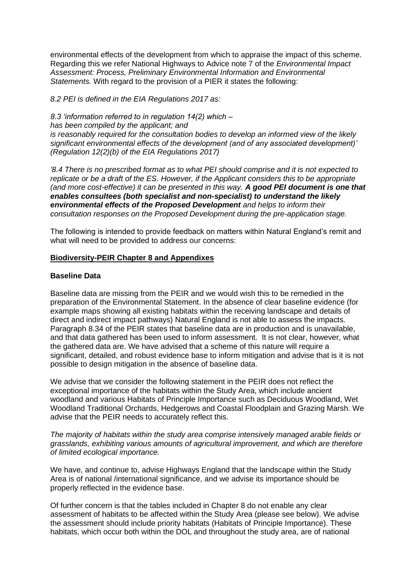environmental effects of the development from which to appraise the impact of this scheme. Regarding this we refer National Highways to Advice note 7 of the *Environmental Impact Assessment: Process, Preliminary Environmental Information and Environmental Statements.* With regard to the provision of a PIER it states the following:

*8.2 PEI is defined in the EIA Regulations 2017 as:*

*8.3 'information referred to in regulation 14(2) which – has been compiled by the applicant; and is reasonably required for the consultation bodies to develop an informed view of the likely significant environmental effects of the development (and of any associated development)' (Regulation 12(2)(b) of the EIA Regulations 2017)*

*'8.4 There is no prescribed format as to what PEI should comprise and it is not expected to replicate or be a draft of the ES. However, if the Applicant considers this to be appropriate (and more cost-effective) it can be presented in this way. A good PEI document is one that enables consultees (both specialist and non-specialist) to understand the likely environmental effects of the Proposed Development and helps to inform their consultation responses on the Proposed Development during the pre-application stage.*

The following is intended to provide feedback on matters within Natural England's remit and what will need to be provided to address our concerns:

### **Biodiversity-PEIR Chapter 8 and Appendixes**

### **Baseline Data**

Baseline data are missing from the PEIR and we would wish this to be remedied in the preparation of the Environmental Statement. In the absence of clear baseline evidence (for example maps showing all existing habitats within the receiving landscape and details of direct and indirect impact pathways) Natural England is not able to assess the impacts. Paragraph 8.34 of the PEIR states that baseline data are in production and is unavailable, and that data gathered has been used to inform assessment. It is not clear, however, what the gathered data are. We have advised that a scheme of this nature will require a significant, detailed, and robust evidence base to inform mitigation and advise that is it is not possible to design mitigation in the absence of baseline data.

We advise that we consider the following statement in the PEIR does not reflect the exceptional importance of the habitats within the Study Area, which include ancient woodland and various Habitats of Principle Importance such as Deciduous Woodland, Wet Woodland Traditional Orchards, Hedgerows and Coastal Floodplain and Grazing Marsh. We advise that the PEIR needs to accurately reflect this.

*The majority of habitats within the study area comprise intensively managed arable fields or grasslands, exhibiting various amounts of agricultural improvement, and which are therefore of limited ecological importance.*

We have, and continue to, advise Highways England that the landscape within the Study Area is of national /international significance, and we advise its importance should be properly reflected in the evidence base.

Of further concern is that the tables included in Chapter 8 do not enable any clear assessment of habitats to be affected within the Study Area (please see below). We advise the assessment should include priority habitats (Habitats of Principle Importance). These habitats, which occur both within the DOL and throughout the study area, are of national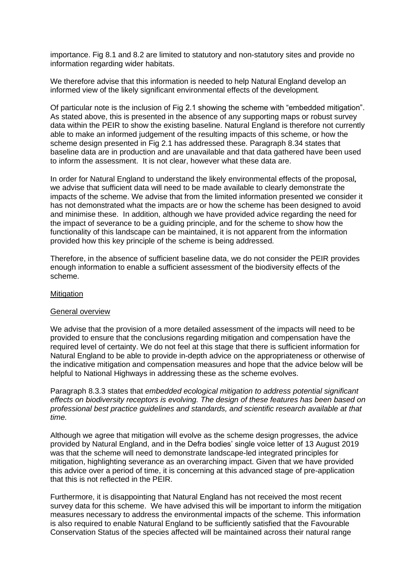importance. Fig 8.1 and 8.2 are limited to statutory and non-statutory sites and provide no information regarding wider habitats.

We therefore advise that this information is needed to help Natural England develop an informed view of the likely significant environmental effects of the development.

Of particular note is the inclusion of Fig 2.1 showing the scheme with "embedded mitigation". As stated above, this is presented in the absence of any supporting maps or robust survey data within the PEIR to show the existing baseline. Natural England is therefore not currently able to make an informed judgement of the resulting impacts of this scheme, or how the scheme design presented in Fig 2.1 has addressed these. Paragraph 8.34 states that baseline data are in production and are unavailable and that data gathered have been used to inform the assessment. It is not clear, however what these data are.

In order for Natural England to understand the likely environmental effects of the proposal**,**  we advise that sufficient data will need to be made available to clearly demonstrate the impacts of the scheme. We advise that from the limited information presented we consider it has not demonstrated what the impacts are or how the scheme has been designed to avoid and minimise these. In addition, although we have provided advice regarding the need for the impact of severance to be a guiding principle, and for the scheme to show how the functionality of this landscape can be maintained, it is not apparent from the information provided how this key principle of the scheme is being addressed.

Therefore, in the absence of sufficient baseline data, we do not consider the PEIR provides enough information to enable a sufficient assessment of the biodiversity effects of the scheme.

#### **Mitigation**

### General overview

We advise that the provision of a more detailed assessment of the impacts will need to be provided to ensure that the conclusions regarding mitigation and compensation have the required level of certainty. We do not feel at this stage that there is sufficient information for Natural England to be able to provide in-depth advice on the appropriateness or otherwise of the indicative mitigation and compensation measures and hope that the advice below will be helpful to National Highways in addressing these as the scheme evolves.

Paragraph 8.3.3 states that *embedded ecological mitigation to address potential significant effects on biodiversity receptors is evolving. The design of these features has been based on professional best practice guidelines and standards, and scientific research available at that time.*

Although we agree that mitigation will evolve as the scheme design progresses, the advice provided by Natural England, and in the Defra bodies' single voice letter of 13 August 2019 was that the scheme will need to demonstrate landscape-led integrated principles for mitigation, highlighting severance as an overarching impact. Given that we have provided this advice over a period of time, it is concerning at this advanced stage of pre-application that this is not reflected in the PEIR.

Furthermore, it is disappointing that Natural England has not received the most recent survey data for this scheme. We have advised this will be important to inform the mitigation measures necessary to address the environmental impacts of the scheme. This information is also required to enable Natural England to be sufficiently satisfied that the Favourable Conservation Status of the species affected will be maintained across their natural range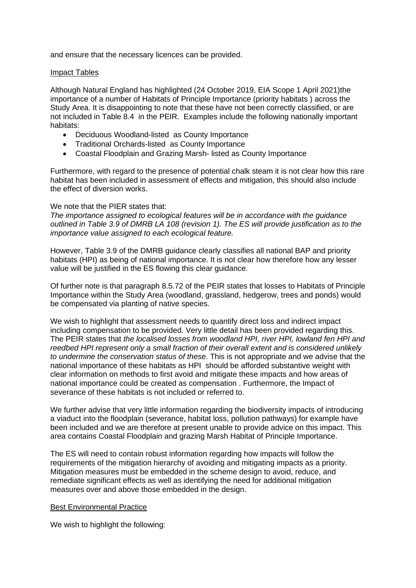and ensure that the necessary licences can be provided.

### Impact Tables

Although Natural England has highlighted (24 October 2019, EIA Scope 1 April 2021)the importance of a number of Habitats of Principle Importance (priority habitats ) across the Study Area. It is disappointing to note that these have not been correctly classified, or are not included in Table 8.4 in the PEIR. Examples include the following nationally important habitats:

- Deciduous Woodland-listed as County Importance
- Traditional Orchards-listed as County Importance
- Coastal Floodplain and Grazing Marsh- listed as County Importance

Furthermore, with regard to the presence of potential chalk steam it is not clear how this rare habitat has been included in assessment of effects and mitigation, this should also include the effect of diversion works.

### We note that the PIER states that:

*The importance assigned to ecological features will be in accordance with the guidance outlined in Table 3.9 of DMRB LA 108 (revision 1). The ES will provide justification as to the importance value assigned to each ecological feature.*

However, Table 3.9 of the DMRB guidance clearly classifies all national BAP and priority habitats (HPI) as being of national importance. It is not clear how therefore how any lesser value will be justified in the ES flowing this clear guidance.

Of further note is that paragraph 8.5.72 of the PEIR states that losses to Habitats of Principle Importance within the Study Area (woodland, grassland, hedgerow, trees and ponds) would be compensated via planting of native species.

We wish to highlight that assessment needs to quantify direct loss and indirect impact including compensation to be provided. Very little detail has been provided regarding this. The PEIR states that *the localised losses from woodland HPI, river HPI, lowland fen HPI and reedbed HPI represent only a small fraction of their overall extent and is considered unlikely to undermine the conservation status of these*. This is not appropriate and we advise that the national importance of these habitats as HPI should be afforded substantive weight with clear information on methods to first avoid and mitigate these impacts and how areas of national importance could be created as compensation . Furthermore, the Impact of severance of these habitats is not included or referred to.

We further advise that very little information regarding the biodiversity impacts of introducing a viaduct into the floodplain (severance, habitat loss, pollution pathways) for example have been included and we are therefore at present unable to provide advice on this impact. This area contains Coastal Floodplain and grazing Marsh Habitat of Principle Importance.

The ES will need to contain robust information regarding how impacts will follow the requirements of the mitigation hierarchy of avoiding and mitigating impacts as a priority. Mitigation measures must be embedded in the scheme design to avoid, reduce, and remediate significant effects as well as identifying the need for additional mitigation measures over and above those embedded in the design.

### Best Environmental Practice

We wish to highlight the following: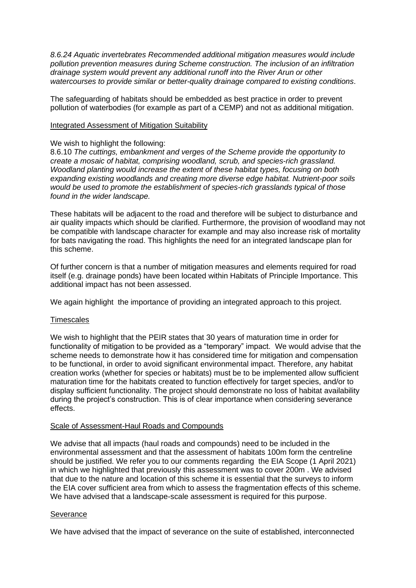*8.6.24 Aquatic invertebrates Recommended additional mitigation measures would include pollution prevention measures during Scheme construction. The inclusion of an infiltration drainage system would prevent any additional runoff into the River Arun or other watercourses to provide similar or better-quality drainage compared to existing conditions*.

The safeguarding of habitats should be embedded as best practice in order to prevent pollution of waterbodies (for example as part of a CEMP) and not as additional mitigation.

#### Integrated Assessment of Mitigation Suitability

#### We wish to highlight the following:

8.6.10 *The cuttings, embankment and verges of the Scheme provide the opportunity to create a mosaic of habitat, comprising woodland, scrub, and species-rich grassland. Woodland planting would increase the extent of these habitat types, focusing on both expanding existing woodlands and creating more diverse edge habitat. Nutrient-poor soils would be used to promote the establishment of species-rich grasslands typical of those found in the wider landscape.*

These habitats will be adjacent to the road and therefore will be subject to disturbance and air quality impacts which should be clarified. Furthermore, the provision of woodland may not be compatible with landscape character for example and may also increase risk of mortality for bats navigating the road. This highlights the need for an integrated landscape plan for this scheme.

Of further concern is that a number of mitigation measures and elements required for road itself (e.g. drainage ponds) have been located within Habitats of Principle Importance. This additional impact has not been assessed.

We again highlight the importance of providing an integrated approach to this project.

#### **Timescales**

We wish to highlight that the PEIR states that 30 years of maturation time in order for functionality of mitigation to be provided as a "temporary" impact. We would advise that the scheme needs to demonstrate how it has considered time for mitigation and compensation to be functional, in order to avoid significant environmental impact. Therefore, any habitat creation works (whether for species or habitats) must be to be implemented allow sufficient maturation time for the habitats created to function effectively for target species, and/or to display sufficient functionality. The project should demonstrate no loss of habitat availability during the project's construction. This is of clear importance when considering severance effects.

### Scale of Assessment-Haul Roads and Compounds

We advise that all impacts (haul roads and compounds) need to be included in the environmental assessment and that the assessment of habitats 100m form the centreline should be justified. We refer you to our comments regarding the EIA Scope (1 April 2021) in which we highlighted that previously this assessment was to cover 200m . We advised that due to the nature and location of this scheme it is essential that the surveys to inform the EIA cover sufficient area from which to assess the fragmentation effects of this scheme. We have advised that a landscape-scale assessment is required for this purpose.

### **Severance**

We have advised that the impact of severance on the suite of established, interconnected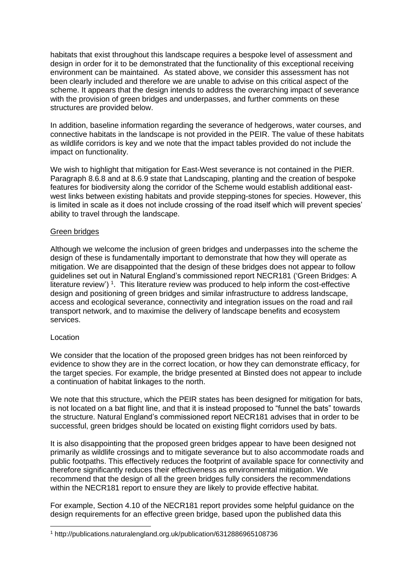habitats that exist throughout this landscape requires a bespoke level of assessment and design in order for it to be demonstrated that the functionality of this exceptional receiving environment can be maintained. As stated above, we consider this assessment has not been clearly included and therefore we are unable to advise on this critical aspect of the scheme. It appears that the design intends to address the overarching impact of severance with the provision of green bridges and underpasses, and further comments on these structures are provided below.

In addition, baseline information regarding the severance of hedgerows, water courses, and connective habitats in the landscape is not provided in the PEIR. The value of these habitats as wildlife corridors is key and we note that the impact tables provided do not include the impact on functionality.

We wish to highlight that mitigation for East-West severance is not contained in the PIER. Paragraph 8.6.8 and at 8.6.9 state that Landscaping, planting and the creation of bespoke features for biodiversity along the corridor of the Scheme would establish additional eastwest links between existing habitats and provide stepping-stones for species. However, this is limited in scale as it does not include crossing of the road itself which will prevent species' ability to travel through the landscape.

### Green bridges

Although we welcome the inclusion of green bridges and underpasses into the scheme the design of these is fundamentally important to demonstrate that how they will operate as mitigation. We are disappointed that the design of these bridges does not appear to follow guidelines set out in Natural England's commissioned report NECR181 ('Green Bridges: A literature review')<sup>1</sup>. This literature review was produced to help inform the cost-effective design and positioning of green bridges and similar infrastructure to address landscape, access and ecological severance, connectivity and integration issues on the road and rail transport network, and to maximise the delivery of landscape benefits and ecosystem services.

### Location

We consider that the location of the proposed green bridges has not been reinforced by evidence to show they are in the correct location, or how they can demonstrate efficacy, for the target species. For example, the bridge presented at Binsted does not appear to include a continuation of habitat linkages to the north.

We note that this structure, which the PEIR states has been designed for mitigation for bats, is not located on a bat flight line, and that it is instead proposed to "funnel the bats" towards the structure. Natural England's commissioned report NECR181 advises that in order to be successful, green bridges should be located on existing flight corridors used by bats.

It is also disappointing that the proposed green bridges appear to have been designed not primarily as wildlife crossings and to mitigate severance but to also accommodate roads and public footpaths. This effectively reduces the footprint of available space for connectivity and therefore significantly reduces their effectiveness as environmental mitigation. We recommend that the design of all the green bridges fully considers the recommendations within the NECR181 report to ensure they are likely to provide effective habitat.

For example, Section 4.10 of the NECR181 report provides some helpful guidance on the design requirements for an effective green bridge, based upon the published data this

<sup>1</sup> http://publications.naturalengland.org.uk/publication/6312886965108736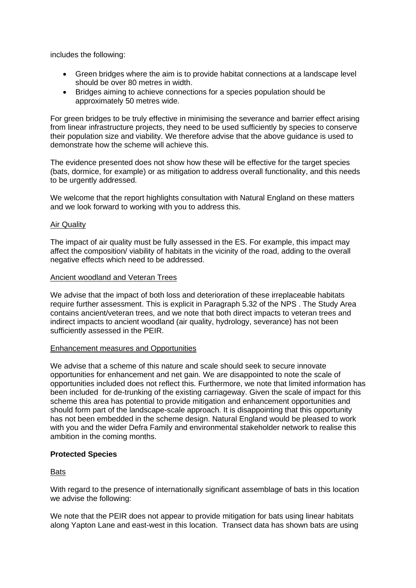includes the following:

- Green bridges where the aim is to provide habitat connections at a landscape level should be over 80 metres in width.
- Bridges aiming to achieve connections for a species population should be approximately 50 metres wide.

For green bridges to be truly effective in minimising the severance and barrier effect arising from linear infrastructure projects, they need to be used sufficiently by species to conserve their population size and viability. We therefore advise that the above guidance is used to demonstrate how the scheme will achieve this.

The evidence presented does not show how these will be effective for the target species (bats, dormice, for example) or as mitigation to address overall functionality, and this needs to be urgently addressed.

We welcome that the report highlights consultation with Natural England on these matters and we look forward to working with you to address this.

### Air Quality

The impact of air quality must be fully assessed in the ES. For example, this impact may affect the composition/ viability of habitats in the vicinity of the road, adding to the overall negative effects which need to be addressed.

### Ancient woodland and Veteran Trees

We advise that the impact of both loss and deterioration of these irreplaceable habitats require further assessment. This is explicit in Paragraph 5.32 of the NPS . The Study Area contains ancient/veteran trees, and we note that both direct impacts to veteran trees and indirect impacts to ancient woodland (air quality, hydrology, severance) has not been sufficiently assessed in the PEIR.

### Enhancement measures and Opportunities

We advise that a scheme of this nature and scale should seek to secure innovate opportunities for enhancement and net gain. We are disappointed to note the scale of opportunities included does not reflect this. Furthermore, we note that limited information has been included for de-trunking of the existing carriageway. Given the scale of impact for this scheme this area has potential to provide mitigation and enhancement opportunities and should form part of the landscape-scale approach. It is disappointing that this opportunity has not been embedded in the scheme design. Natural England would be pleased to work with you and the wider Defra Family and environmental stakeholder network to realise this ambition in the coming months.

## **Protected Species**

**Bats** 

With regard to the presence of internationally significant assemblage of bats in this location we advise the following:

We note that the PEIR does not appear to provide mitigation for bats using linear habitats along Yapton Lane and east-west in this location. Transect data has shown bats are using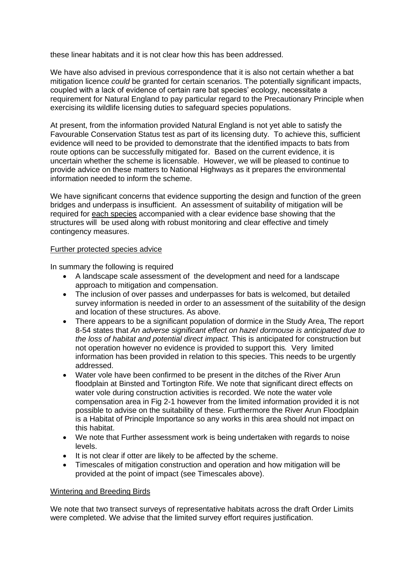these linear habitats and it is not clear how this has been addressed.

We have also advised in previous correspondence that it is also not certain whether a bat mitigation licence *could* be granted for certain scenarios. The potentially significant impacts, coupled with a lack of evidence of certain rare bat species' ecology, necessitate a requirement for Natural England to pay particular regard to the Precautionary Principle when exercising its wildlife licensing duties to safeguard species populations.

At present, from the information provided Natural England is not yet able to satisfy the Favourable Conservation Status test as part of its licensing duty. To achieve this, sufficient evidence will need to be provided to demonstrate that the identified impacts to bats from route options can be successfully mitigated for. Based on the current evidence, it is uncertain whether the scheme is licensable. However, we will be pleased to continue to provide advice on these matters to National Highways as it prepares the environmental information needed to inform the scheme.

We have significant concerns that evidence supporting the design and function of the green bridges and underpass is insufficient. An assessment of suitability of mitigation will be required for each species accompanied with a clear evidence base showing that the structures will be used along with robust monitoring and clear effective and timely contingency measures.

### Further protected species advice

In summary the following is required

- A landscape scale assessment of the development and need for a landscape approach to mitigation and compensation.
- The inclusion of over passes and underpasses for bats is welcomed, but detailed survey information is needed in order to an assessment of the suitability of the design and location of these structures. As above.
- There appears to be a significant population of dormice in the Study Area, The report 8-54 states that *An adverse significant effect on hazel dormouse is anticipated due to the loss of habitat and potential direct impact.* This is anticipated for construction but not operation however no evidence is provided to support this*.* Very limited information has been provided in relation to this species. This needs to be urgently addressed.
- Water vole have been confirmed to be present in the ditches of the River Arun floodplain at Binsted and Tortington Rife. We note that significant direct effects on water vole during construction activities is recorded. We note the water vole compensation area in Fig 2-1 however from the limited information provided it is not possible to advise on the suitability of these. Furthermore the River Arun Floodplain is a Habitat of Principle Importance so any works in this area should not impact on this habitat.
- We note that Further assessment work is being undertaken with regards to noise levels.
- It is not clear if otter are likely to be affected by the scheme.
- Timescales of mitigation construction and operation and how mitigation will be provided at the point of impact (see Timescales above).

### Wintering and Breeding Birds

We note that two transect surveys of representative habitats across the draft Order Limits were completed. We advise that the limited survey effort requires justification.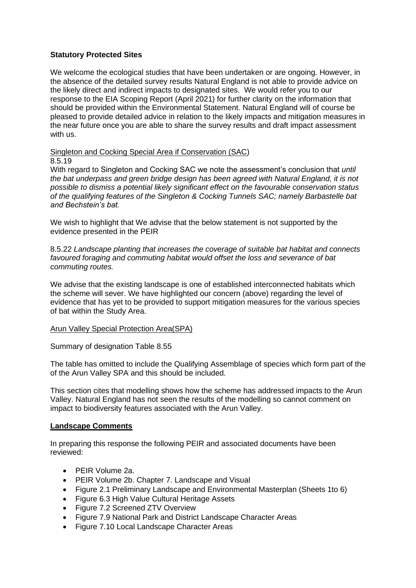### **Statutory Protected Sites**

We welcome the ecological studies that have been undertaken or are ongoing. However, in the absence of the detailed survey results Natural England is not able to provide advice on the likely direct and indirect impacts to designated sites. We would refer you to our response to the EIA Scoping Report (April 2021) for further clarity on the information that should be provided within the Environmental Statement. Natural England will of course be pleased to provide detailed advice in relation to the likely impacts and mitigation measures in the near future once you are able to share the survey results and draft impact assessment with us.

Singleton and Cocking Special Area if Conservation (SAC) 8.5.19

With regard to Singleton and Cocking SAC we note the assessment's conclusion that *until the bat underpass and green bridge design has been agreed with Natural England, it is not possible to dismiss a potential likely significant effect on the favourable conservation status of the qualifying features of the Singleton & Cocking Tunnels SAC; namely Barbastelle bat and Bechstein's bat.*

We wish to highlight that We advise that the below statement is not supported by the evidence presented in the PEIR

8.5.22 *Landscape planting that increases the coverage of suitable bat habitat and connects favoured foraging and commuting habitat would offset the loss and severance of bat commuting routes.*

We advise that the existing landscape is one of established interconnected habitats which the scheme will sever. We have highlighted our concern (above) regarding the level of evidence that has yet to be provided to support mitigation measures for the various species of bat within the Study Area.

### Arun Valley Special Protection Area(SPA)

Summary of designation Table 8.55

The table has omitted to include the Qualifying Assemblage of species which form part of the of the Arun Valley SPA and this should be included.

This section cites that modelling shows how the scheme has addressed impacts to the Arun Valley. Natural England has not seen the results of the modelling so cannot comment on impact to biodiversity features associated with the Arun Valley.

### **Landscape Comments**

In preparing this response the following PEIR and associated documents have been reviewed:

- PEIR Volume 2a.
- PEIR Volume 2b. Chapter 7. Landscape and Visual
- Figure 2.1 Preliminary Landscape and Environmental Masterplan (Sheets 1to 6)
- Figure 6.3 High Value Cultural Heritage Assets
- Figure 7.2 Screened ZTV Overview
- Figure 7.9 National Park and District Landscape Character Areas
- Figure 7.10 Local Landscape Character Areas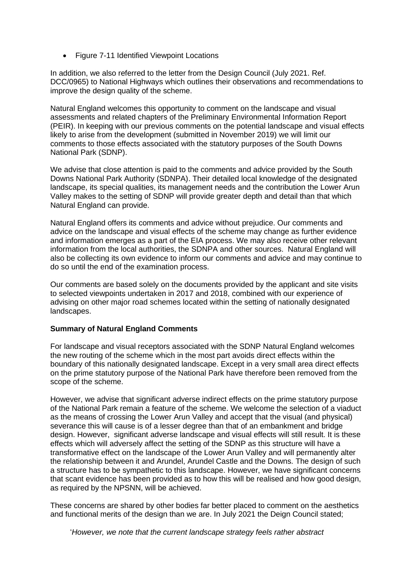• Figure 7-11 Identified Viewpoint Locations

In addition, we also referred to the letter from the Design Council (July 2021. Ref. DCC/0965) to National Highways which outlines their observations and recommendations to improve the design quality of the scheme.

Natural England welcomes this opportunity to comment on the landscape and visual assessments and related chapters of the Preliminary Environmental Information Report (PEIR). In keeping with our previous comments on the potential landscape and visual effects likely to arise from the development (submitted in November 2019) we will limit our comments to those effects associated with the statutory purposes of the South Downs National Park (SDNP).

We advise that close attention is paid to the comments and advice provided by the South Downs National Park Authority (SDNPA). Their detailed local knowledge of the designated landscape, its special qualities, its management needs and the contribution the Lower Arun Valley makes to the setting of SDNP will provide greater depth and detail than that which Natural England can provide.

Natural England offers its comments and advice without prejudice. Our comments and advice on the landscape and visual effects of the scheme may change as further evidence and information emerges as a part of the EIA process. We may also receive other relevant information from the local authorities, the SDNPA and other sources. Natural England will also be collecting its own evidence to inform our comments and advice and may continue to do so until the end of the examination process.

Our comments are based solely on the documents provided by the applicant and site visits to selected viewpoints undertaken in 2017 and 2018, combined with our experience of advising on other major road schemes located within the setting of nationally designated landscapes.

## **Summary of Natural England Comments**

For landscape and visual receptors associated with the SDNP Natural England welcomes the new routing of the scheme which in the most part avoids direct effects within the boundary of this nationally designated landscape. Except in a very small area direct effects on the prime statutory purpose of the National Park have therefore been removed from the scope of the scheme.

However, we advise that significant adverse indirect effects on the prime statutory purpose of the National Park remain a feature of the scheme. We welcome the selection of a viaduct as the means of crossing the Lower Arun Valley and accept that the visual (and physical) severance this will cause is of a lesser degree than that of an embankment and bridge design. However, significant adverse landscape and visual effects will still result. It is these effects which will adversely affect the setting of the SDNP as this structure will have a transformative effect on the landscape of the Lower Arun Valley and will permanently alter the relationship between it and Arundel, Arundel Castle and the Downs. The design of such a structure has to be sympathetic to this landscape. However, we have significant concerns that scant evidence has been provided as to how this will be realised and how good design, as required by the NPSNN, will be achieved.

These concerns are shared by other bodies far better placed to comment on the aesthetics and functional merits of the design than we are. In July 2021 the Deign Council stated;

'*However, we note that the current landscape strategy feels rather abstract*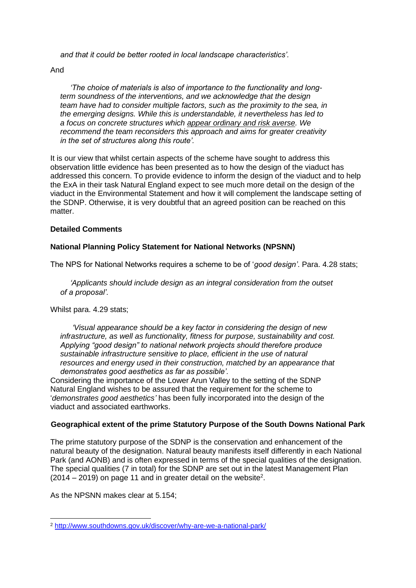*and that it could be better rooted in local landscape characteristics'.*

And

*'The choice of materials is also of importance to the functionality and longterm soundness of the interventions, and we acknowledge that the design team have had to consider multiple factors, such as the proximity to the sea, in the emerging designs. While this is understandable, it nevertheless has led to a focus on concrete structures which appear ordinary and risk averse. We recommend the team reconsiders this approach and aims for greater creativity in the set of structures along this route'.*

It is our view that whilst certain aspects of the scheme have sought to address this observation little evidence has been presented as to how the design of the viaduct has addressed this concern. To provide evidence to inform the design of the viaduct and to help the ExA in their task Natural England expect to see much more detail on the design of the viaduct in the Environmental Statement and how it will complement the landscape setting of the SDNP. Otherwise, it is very doubtful that an agreed position can be reached on this matter.

## **Detailed Comments**

# **National Planning Policy Statement for National Networks (NPSNN)**

The NPS for National Networks requires a scheme to be of '*good design'*. Para. 4.28 stats;

*'Applicants should include design as an integral consideration from the outset of a proposal'.* 

Whilst para. 4.29 stats;

*'Visual appearance should be a key factor in considering the design of new infrastructure, as well as functionality, fitness for purpose, sustainability and cost. Applying "good design" to national network projects should therefore produce sustainable infrastructure sensitive to place, efficient in the use of natural resources and energy used in their construction, matched by an appearance that demonstrates good aesthetics as far as possible'.*

Considering the importance of the Lower Arun Valley to the setting of the SDNP Natural England wishes to be assured that the requirement for the scheme to '*demonstrates good aesthetics'* has been fully incorporated into the design of the viaduct and associated earthworks.

## **Geographical extent of the prime Statutory Purpose of the South Downs National Park**

The prime statutory purpose of the SDNP is the conservation and enhancement of the natural beauty of the designation. Natural beauty manifests itself differently in each National Park (and AONB) and is often expressed in terms of the special qualities of the designation. The special qualities (7 in total) for the SDNP are set out in the latest Management Plan  $(2014 - 2019)$  on page 11 and in greater detail on the website<sup>2</sup>.

As the NPSNN makes clear at 5.154;

<sup>2</sup> <http://www.southdowns.gov.uk/discover/why-are-we-a-national-park/>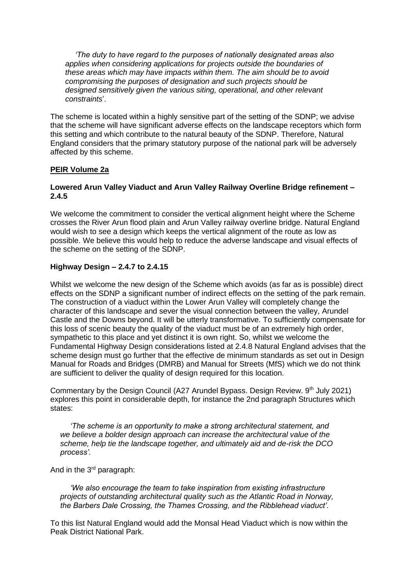*'The duty to have regard to the purposes of nationally designated areas also applies when considering applications for projects outside the boundaries of these areas which may have impacts within them. The aim should be to avoid compromising the purposes of designation and such projects should be designed sensitively given the various siting, operational, and other relevant constraints*'.

The scheme is located within a highly sensitive part of the setting of the SDNP; we advise that the scheme will have significant adverse effects on the landscape receptors which form this setting and which contribute to the natural beauty of the SDNP. Therefore, Natural England considers that the primary statutory purpose of the national park will be adversely affected by this scheme.

## **PEIR Volume 2a**

### **Lowered Arun Valley Viaduct and Arun Valley Railway Overline Bridge refinement – 2.4.5**

We welcome the commitment to consider the vertical alignment height where the Scheme crosses the River Arun flood plain and Arun Valley railway overline bridge. Natural England would wish to see a design which keeps the vertical alignment of the route as low as possible. We believe this would help to reduce the adverse landscape and visual effects of the scheme on the setting of the SDNP.

## **Highway Design – 2.4.7 to 2.4.15**

Whilst we welcome the new design of the Scheme which avoids (as far as is possible) direct effects on the SDNP a significant number of indirect effects on the setting of the park remain. The construction of a viaduct within the Lower Arun Valley will completely change the character of this landscape and sever the visual connection between the valley, Arundel Castle and the Downs beyond. It will be utterly transformative. To sufficiently compensate for this loss of scenic beauty the quality of the viaduct must be of an extremely high order, sympathetic to this place and yet distinct it is own right. So, whilst we welcome the Fundamental Highway Design considerations listed at 2.4.8 Natural England advises that the scheme design must go further that the effective de minimum standards as set out in Design Manual for Roads and Bridges (DMRB) and Manual for Streets (MfS) which we do not think are sufficient to deliver the quality of design required for this location.

Commentary by the Design Council (A27 Arundel Bypass. Design Review. 9<sup>th</sup> July 2021) explores this point in considerable depth, for instance the 2nd paragraph Structures which states:

*'The scheme is an opportunity to make a strong architectural statement, and we believe a bolder design approach can increase the architectural value of the scheme, help tie the landscape together, and ultimately aid and de-risk the DCO process'.*

And in the 3<sup>rd</sup> paragraph:

*'We also encourage the team to take inspiration from existing infrastructure projects of outstanding architectural quality such as the Atlantic Road in Norway, the Barbers Dale Crossing, the Thames Crossing, and the Ribblehead viaduct'.* 

To this list Natural England would add the Monsal Head Viaduct which is now within the Peak District National Park.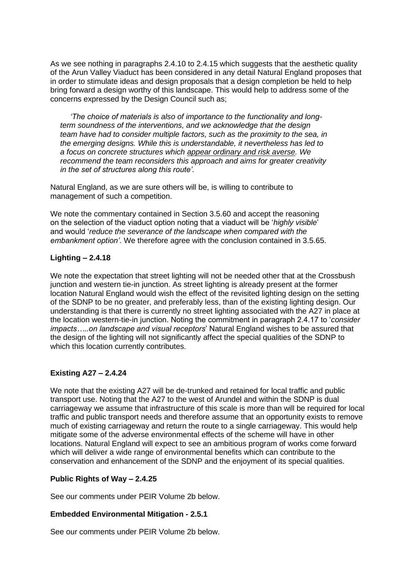As we see nothing in paragraphs 2.4.10 to 2.4.15 which suggests that the aesthetic quality of the Arun Valley Viaduct has been considered in any detail Natural England proposes that in order to stimulate ideas and design proposals that a design completion be held to help bring forward a design worthy of this landscape. This would help to address some of the concerns expressed by the Design Council such as;

*'The choice of materials is also of importance to the functionality and longterm soundness of the interventions, and we acknowledge that the design team have had to consider multiple factors, such as the proximity to the sea, in the emerging designs. While this is understandable, it nevertheless has led to a focus on concrete structures which appear ordinary and risk averse. We recommend the team reconsiders this approach and aims for greater creativity in the set of structures along this route'.*

Natural England, as we are sure others will be, is willing to contribute to management of such a competition.

We note the commentary contained in Section 3.5.60 and accept the reasoning on the selection of the viaduct option noting that a viaduct will be '*highly visible*' and would '*reduce the severance of the landscape when compared with the embankment option'*. We therefore agree with the conclusion contained in 3.5.65.

# **Lighting – 2.4.18**

We note the expectation that street lighting will not be needed other that at the Crossbush junction and western tie-in junction. As street lighting is already present at the former location Natural England would wish the effect of the revisited lighting design on the setting of the SDNP to be no greater, and preferably less, than of the existing lighting design. Our understanding is that there is currently no street lighting associated with the A27 in place at the location western-tie-in junction. Noting the commitment in paragraph 2.4.17 to '*consider impacts…..on landscape and visual receptors*' Natural England wishes to be assured that the design of the lighting will not significantly affect the special qualities of the SDNP to which this location currently contributes.

## **Existing A27 – 2.4.24**

We note that the existing A27 will be de-trunked and retained for local traffic and public transport use. Noting that the A27 to the west of Arundel and within the SDNP is dual carriageway we assume that infrastructure of this scale is more than will be required for local traffic and public transport needs and therefore assume that an opportunity exists to remove much of existing carriageway and return the route to a single carriageway. This would help mitigate some of the adverse environmental effects of the scheme will have in other locations. Natural England will expect to see an ambitious program of works come forward which will deliver a wide range of environmental benefits which can contribute to the conservation and enhancement of the SDNP and the enjoyment of its special qualities.

# **Public Rights of Way – 2.4.25**

See our comments under PEIR Volume 2b below.

## **Embedded Environmental Mitigation - 2.5.1**

See our comments under PEIR Volume 2b below.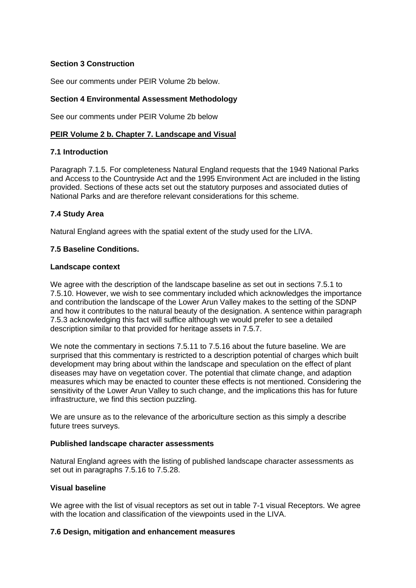# **Section 3 Construction**

See our comments under PEIR Volume 2b below.

## **Section 4 Environmental Assessment Methodology**

See our comments under PEIR Volume 2b below

### **PEIR Volume 2 b. Chapter 7. Landscape and Visual**

### **7.1 Introduction**

Paragraph 7.1.5. For completeness Natural England requests that the 1949 National Parks and Access to the Countryside Act and the 1995 Environment Act are included in the listing provided. Sections of these acts set out the statutory purposes and associated duties of National Parks and are therefore relevant considerations for this scheme.

### **7.4 Study Area**

Natural England agrees with the spatial extent of the study used for the LIVA.

### **7.5 Baseline Conditions.**

### **Landscape context**

We agree with the description of the landscape baseline as set out in sections 7.5.1 to 7.5.10. However, we wish to see commentary included which acknowledges the importance and contribution the landscape of the Lower Arun Valley makes to the setting of the SDNP and how it contributes to the natural beauty of the designation. A sentence within paragraph 7.5.3 acknowledging this fact will suffice although we would prefer to see a detailed description similar to that provided for heritage assets in 7.5.7.

We note the commentary in sections 7.5.11 to 7.5.16 about the future baseline. We are surprised that this commentary is restricted to a description potential of charges which built development may bring about within the landscape and speculation on the effect of plant diseases may have on vegetation cover. The potential that climate change, and adaption measures which may be enacted to counter these effects is not mentioned. Considering the sensitivity of the Lower Arun Valley to such change, and the implications this has for future infrastructure, we find this section puzzling.

We are unsure as to the relevance of the arboriculture section as this simply a describe future trees surveys.

### **Published landscape character assessments**

Natural England agrees with the listing of published landscape character assessments as set out in paragraphs 7.5.16 to 7.5.28.

## **Visual baseline**

We agree with the list of visual receptors as set out in table 7-1 visual Receptors. We agree with the location and classification of the viewpoints used in the LIVA.

### **7.6 Design, mitigation and enhancement measures**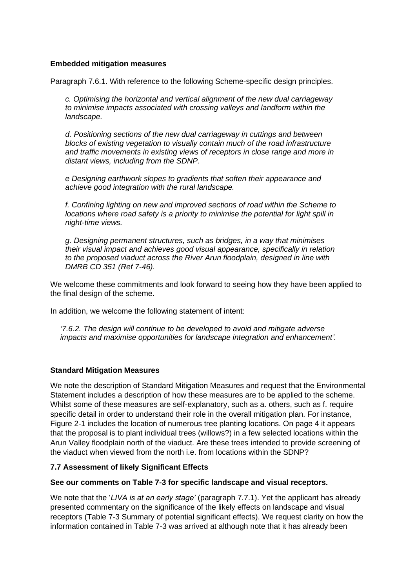## **Embedded mitigation measures**

Paragraph 7.6.1. With reference to the following Scheme-specific design principles.

*c. Optimising the horizontal and vertical alignment of the new dual carriageway to minimise impacts associated with crossing valleys and landform within the landscape.* 

*d. Positioning sections of the new dual carriageway in cuttings and between blocks of existing vegetation to visually contain much of the road infrastructure and traffic movements in existing views of receptors in close range and more in distant views, including from the SDNP.* 

*e Designing earthwork slopes to gradients that soften their appearance and achieve good integration with the rural landscape.* 

*f. Confining lighting on new and improved sections of road within the Scheme to locations where road safety is a priority to minimise the potential for light spill in night-time views.* 

*g. Designing permanent structures, such as bridges, in a way that minimises their visual impact and achieves good visual appearance, specifically in relation to the proposed viaduct across the River Arun floodplain, designed in line with DMRB CD 351 (Ref 7-46).* 

We welcome these commitments and look forward to seeing how they have been applied to the final design of the scheme.

In addition, we welcome the following statement of intent:

*'7.6.2. The design will continue to be developed to avoid and mitigate adverse impacts and maximise opportunities for landscape integration and enhancement'.* 

## **Standard Mitigation Measures**

We note the description of Standard Mitigation Measures and request that the Environmental Statement includes a description of how these measures are to be applied to the scheme. Whilst some of these measures are self-explanatory, such as a. others, such as f. require specific detail in order to understand their role in the overall mitigation plan. For instance, Figure 2-1 includes the location of numerous tree planting locations. On page 4 it appears that the proposal is to plant individual trees (willows?) in a few selected locations within the Arun Valley floodplain north of the viaduct. Are these trees intended to provide screening of the viaduct when viewed from the north i.e. from locations within the SDNP?

## **7.7 Assessment of likely Significant Effects**

### **See our comments on Table 7-3 for specific landscape and visual receptors.**

We note that the '*LIVA is at an early stage'* (paragraph 7.7.1). Yet the applicant has already presented commentary on the significance of the likely effects on landscape and visual receptors (Table 7-3 Summary of potential significant effects). We request clarity on how the information contained in Table 7-3 was arrived at although note that it has already been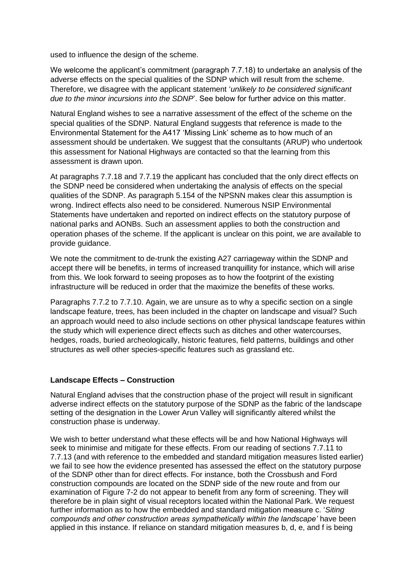used to influence the design of the scheme.

We welcome the applicant's commitment (paragraph 7.7.18) to undertake an analysis of the adverse effects on the special qualities of the SDNP which will result from the scheme. Therefore, we disagree with the applicant statement '*unlikely to be considered significant due to the minor incursions into the SDNP*'. See below for further advice on this matter.

Natural England wishes to see a narrative assessment of the effect of the scheme on the special qualities of the SDNP. Natural England suggests that reference is made to the Environmental Statement for the A417 'Missing Link' scheme as to how much of an assessment should be undertaken. We suggest that the consultants (ARUP) who undertook this assessment for National Highways are contacted so that the learning from this assessment is drawn upon.

At paragraphs 7.7.18 and 7.7.19 the applicant has concluded that the only direct effects on the SDNP need be considered when undertaking the analysis of effects on the special qualities of the SDNP. As paragraph 5.154 of the NPSNN makes clear this assumption is wrong. Indirect effects also need to be considered. Numerous NSIP Environmental Statements have undertaken and reported on indirect effects on the statutory purpose of national parks and AONBs. Such an assessment applies to both the construction and operation phases of the scheme. If the applicant is unclear on this point, we are available to provide guidance.

We note the commitment to de-trunk the existing A27 carriageway within the SDNP and accept there will be benefits, in terms of increased tranquillity for instance, which will arise from this. We look forward to seeing proposes as to how the footprint of the existing infrastructure will be reduced in order that the maximize the benefits of these works.

Paragraphs 7.7.2 to 7.7.10. Again, we are unsure as to why a specific section on a single landscape feature, trees, has been included in the chapter on landscape and visual? Such an approach would need to also include sections on other physical landscape features within the study which will experience direct effects such as ditches and other watercourses, hedges, roads, buried archeologically, historic features, field patterns, buildings and other structures as well other species-specific features such as grassland etc.

## **Landscape Effects – Construction**

Natural England advises that the construction phase of the project will result in significant adverse indirect effects on the statutory purpose of the SDNP as the fabric of the landscape setting of the designation in the Lower Arun Valley will significantly altered whilst the construction phase is underway.

We wish to better understand what these effects will be and how National Highways will seek to minimise and mitigate for these effects. From our reading of sections 7.7.11 to 7.7.13 (and with reference to the embedded and standard mitigation measures listed earlier) we fail to see how the evidence presented has assessed the effect on the statutory purpose of the SDNP other than for direct effects. For instance, both the Crossbush and Ford construction compounds are located on the SDNP side of the new route and from our examination of Figure 7-2 do not appear to benefit from any form of screening. They will therefore be in plain sight of visual receptors located within the National Park. We request further information as to how the embedded and standard mitigation measure c. '*Siting compounds and other construction areas sympathetically within the landscape'* have been applied in this instance. If reliance on standard mitigation measures b, d, e, and f is being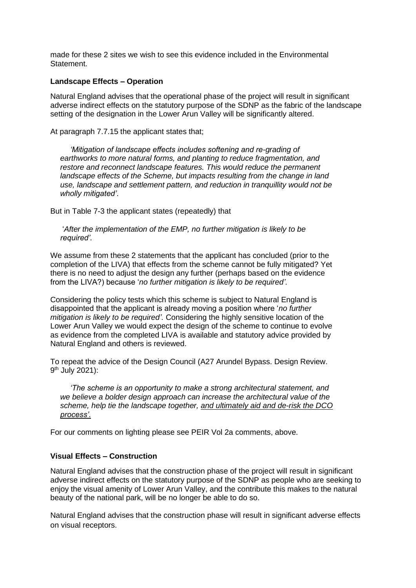made for these 2 sites we wish to see this evidence included in the Environmental Statement.

### **Landscape Effects – Operation**

Natural England advises that the operational phase of the project will result in significant adverse indirect effects on the statutory purpose of the SDNP as the fabric of the landscape setting of the designation in the Lower Arun Valley will be significantly altered.

At paragraph 7.7.15 the applicant states that;

*'Mitigation of landscape effects includes softening and re-grading of earthworks to more natural forms, and planting to reduce fragmentation, and restore and reconnect landscape features. This would reduce the permanent landscape effects of the Scheme, but impacts resulting from the change in land use, landscape and settlement pattern, and reduction in tranquillity would not be wholly mitigated'*.

But in Table 7-3 the applicant states (repeatedly) that

'*After the implementation of the EMP, no further mitigation is likely to be required'.*

We assume from these 2 statements that the applicant has concluded (prior to the completion of the LIVA) that effects from the scheme cannot be fully mitigated? Yet there is no need to adjust the design any further (perhaps based on the evidence from the LIVA?) because '*no further mitigation is likely to be required'.* 

Considering the policy tests which this scheme is subject to Natural England is disappointed that the applicant is already moving a position where '*no further mitigation is likely to be required'.* Considering the highly sensitive location of the Lower Arun Valley we would expect the design of the scheme to continue to evolve as evidence from the completed LIVA is available and statutory advice provided by Natural England and others is reviewed.

To repeat the advice of the Design Council (A27 Arundel Bypass. Design Review. 9<sup>th</sup> July 2021):

*'The scheme is an opportunity to make a strong architectural statement, and we believe a bolder design approach can increase the architectural value of the scheme, help tie the landscape together, and ultimately aid and de-risk the DCO process'.*

For our comments on lighting please see PEIR Vol 2a comments, above.

## **Visual Effects – Construction**

Natural England advises that the construction phase of the project will result in significant adverse indirect effects on the statutory purpose of the SDNP as people who are seeking to enjoy the visual amenity of Lower Arun Valley, and the contribute this makes to the natural beauty of the national park, will be no longer be able to do so.

Natural England advises that the construction phase will result in significant adverse effects on visual receptors.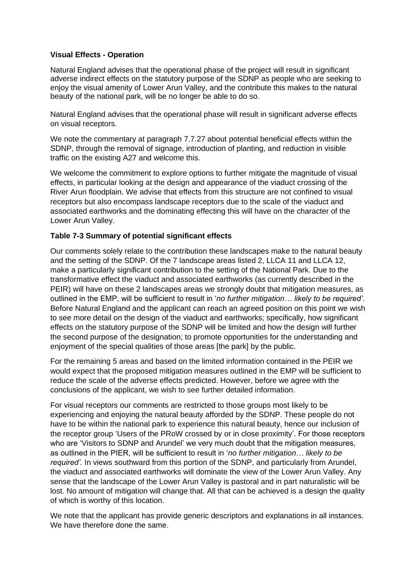## **Visual Effects - Operation**

Natural England advises that the operational phase of the project will result in significant adverse indirect effects on the statutory purpose of the SDNP as people who are seeking to enjoy the visual amenity of Lower Arun Valley, and the contribute this makes to the natural beauty of the national park, will be no longer be able to do so.

Natural England advises that the operational phase will result in significant adverse effects on visual receptors.

We note the commentary at paragraph 7.7.27 about potential beneficial effects within the SDNP, through the removal of signage, introduction of planting, and reduction in visible traffic on the existing A27 and welcome this.

We welcome the commitment to explore options to further mitigate the magnitude of visual effects, in particular looking at the design and appearance of the viaduct crossing of the River Arun floodplain. We advise that effects from this structure are not confined to visual receptors but also encompass landscape receptors due to the scale of the viaduct and associated earthworks and the dominating effecting this will have on the character of the Lower Arun Valley.

## **Table 7-3 Summary of potential significant effects**

Our comments solely relate to the contribution these landscapes make to the natural beauty and the setting of the SDNP. Of the 7 landscape areas listed 2, LLCA 11 and LLCA 12, make a particularly significant contribution to the setting of the National Park. Due to the transformative effect the viaduct and associated earthworks (as currently described in the PEIR) will have on these 2 landscapes areas we strongly doubt that mitigation measures, as outlined in the EMP, will be sufficient to result in '*no further mitigation… likely to be required'*. Before Natural England and the applicant can reach an agreed position on this point we wish to see more detail on the design of the viaduct and earthworks; specifically, how significant effects on the statutory purpose of the SDNP will be limited and how the design will further the second purpose of the designation; to promote opportunities for the understanding and enjoyment of the special qualities of those areas [the park] by the public.

For the remaining 5 areas and based on the limited information contained in the PEIR we would expect that the proposed mitigation measures outlined in the EMP will be sufficient to reduce the scale of the adverse effects predicted. However, before we agree with the conclusions of the applicant, we wish to see further detailed information.

For visual receptors our comments are restricted to those groups most likely to be experiencing and enjoying the natural beauty afforded by the SDNP. These people do not have to be within the national park to experience this natural beauty, hence our inclusion of the receptor group 'Users of the PRoW crossed by or in close proximity'. For those receptors who are 'Visitors to SDNP and Arundel' we very much doubt that the mitigation measures, as outlined in the PIER, will be sufficient to result in '*no further mitigation… likely to be required'.* In views southward from this portion of the SDNP, and particularly from Arundel, the viaduct and associated earthworks will dominate the view of the Lower Arun Valley. Any sense that the landscape of the Lower Arun Valley is pastoral and in part naturalistic will be lost. No amount of mitigation will change that. All that can be achieved is a design the quality of which is worthy of this location.

We note that the applicant has provide generic descriptors and explanations in all instances. We have therefore done the same.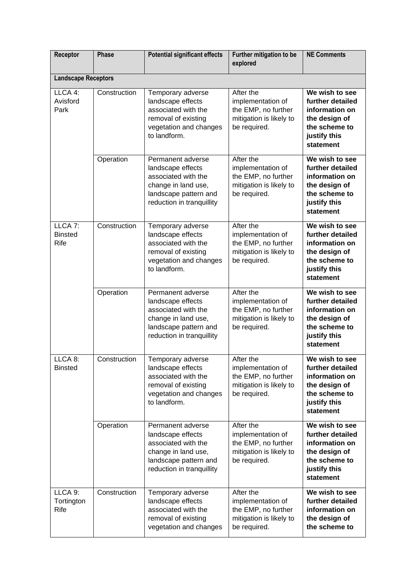| Receptor                                     | <b>Phase</b> | <b>Potential significant effects</b>                                                                                                       | Further mitigation to be<br>explored                                                             | <b>NE Comments</b>                                                                                                  |  |  |  |
|----------------------------------------------|--------------|--------------------------------------------------------------------------------------------------------------------------------------------|--------------------------------------------------------------------------------------------------|---------------------------------------------------------------------------------------------------------------------|--|--|--|
| <b>Landscape Receptors</b>                   |              |                                                                                                                                            |                                                                                                  |                                                                                                                     |  |  |  |
| LLCA 4:<br>Avisford<br>Park                  | Construction | Temporary adverse<br>landscape effects<br>associated with the<br>removal of existing<br>vegetation and changes<br>to landform.             | After the<br>implementation of<br>the EMP, no further<br>mitigation is likely to<br>be required. | We wish to see<br>further detailed<br>information on<br>the design of<br>the scheme to<br>justify this<br>statement |  |  |  |
|                                              | Operation    | Permanent adverse<br>landscape effects<br>associated with the<br>change in land use,<br>landscape pattern and<br>reduction in tranquillity | After the<br>implementation of<br>the EMP, no further<br>mitigation is likely to<br>be required. | We wish to see<br>further detailed<br>information on<br>the design of<br>the scheme to<br>justify this<br>statement |  |  |  |
| LLCA <sub>7:</sub><br><b>Binsted</b><br>Rife | Construction | Temporary adverse<br>landscape effects<br>associated with the<br>removal of existing<br>vegetation and changes<br>to landform.             | After the<br>implementation of<br>the EMP, no further<br>mitigation is likely to<br>be required. | We wish to see<br>further detailed<br>information on<br>the design of<br>the scheme to<br>justify this<br>statement |  |  |  |
|                                              | Operation    | Permanent adverse<br>landscape effects<br>associated with the<br>change in land use,<br>landscape pattern and<br>reduction in tranquillity | After the<br>implementation of<br>the EMP, no further<br>mitigation is likely to<br>be required. | We wish to see<br>further detailed<br>information on<br>the design of<br>the scheme to<br>justify this<br>statement |  |  |  |
| LLCA <sub>8</sub> :<br><b>Binsted</b>        | Construction | Temporary adverse<br>landscape effects<br>associated with the<br>removal of existing<br>vegetation and changes<br>to landform.             | After the<br>implementation of<br>the EMP, no further<br>mitigation is likely to<br>be required. | We wish to see<br>further detailed<br>information on<br>the design of<br>the scheme to<br>justify this<br>statement |  |  |  |
|                                              | Operation    | Permanent adverse<br>landscape effects<br>associated with the<br>change in land use,<br>landscape pattern and<br>reduction in tranquillity | After the<br>implementation of<br>the EMP, no further<br>mitigation is likely to<br>be required. | We wish to see<br>further detailed<br>information on<br>the design of<br>the scheme to<br>justify this<br>statement |  |  |  |
| LLCA 9:<br>Tortington<br>Rife                | Construction | Temporary adverse<br>landscape effects<br>associated with the<br>removal of existing<br>vegetation and changes                             | After the<br>implementation of<br>the EMP, no further<br>mitigation is likely to<br>be required. | We wish to see<br>further detailed<br>information on<br>the design of<br>the scheme to                              |  |  |  |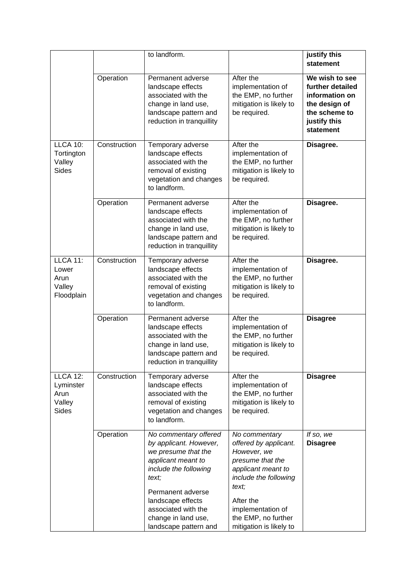|                                                                |              | to landform.                                                                                                                                                                                                                                    |                                                                                                                                                                                                                       | justify this<br>statement                                                                                           |
|----------------------------------------------------------------|--------------|-------------------------------------------------------------------------------------------------------------------------------------------------------------------------------------------------------------------------------------------------|-----------------------------------------------------------------------------------------------------------------------------------------------------------------------------------------------------------------------|---------------------------------------------------------------------------------------------------------------------|
|                                                                | Operation    | Permanent adverse<br>landscape effects<br>associated with the<br>change in land use,<br>landscape pattern and<br>reduction in tranquillity                                                                                                      | After the<br>implementation of<br>the EMP, no further<br>mitigation is likely to<br>be required.                                                                                                                      | We wish to see<br>further detailed<br>information on<br>the design of<br>the scheme to<br>justify this<br>statement |
| <b>LLCA 10:</b><br>Tortington<br>Valley<br>Sides               | Construction | Temporary adverse<br>landscape effects<br>associated with the<br>removal of existing<br>vegetation and changes<br>to landform.                                                                                                                  | After the<br>implementation of<br>the EMP, no further<br>mitigation is likely to<br>be required.                                                                                                                      | Disagree.                                                                                                           |
|                                                                | Operation    | Permanent adverse<br>landscape effects<br>associated with the<br>change in land use,<br>landscape pattern and<br>reduction in tranquillity                                                                                                      | After the<br>implementation of<br>the EMP, no further<br>mitigation is likely to<br>be required.                                                                                                                      | Disagree.                                                                                                           |
| <b>LLCA 11:</b><br>Lower<br>Arun<br>Valley<br>Floodplain       | Construction | Temporary adverse<br>landscape effects<br>associated with the<br>removal of existing<br>vegetation and changes<br>to landform.                                                                                                                  | After the<br>implementation of<br>the EMP, no further<br>mitigation is likely to<br>be required.                                                                                                                      | Disagree.                                                                                                           |
|                                                                | Operation    | Permanent adverse<br>landscape effects<br>associated with the<br>change in land use,<br>landscape pattern and<br>reduction in tranquillity                                                                                                      | After the<br>implementation of<br>the EMP, no further<br>mitigation is likely to<br>be required.                                                                                                                      | <b>Disagree</b>                                                                                                     |
| <b>LLCA 12:</b><br>Lyminster<br>Arun<br>Valley<br><b>Sides</b> | Construction | Temporary adverse<br>landscape effects<br>associated with the<br>removal of existing<br>vegetation and changes<br>to landform.                                                                                                                  | After the<br>implementation of<br>the EMP, no further<br>mitigation is likely to<br>be required.                                                                                                                      | <b>Disagree</b>                                                                                                     |
|                                                                | Operation    | No commentary offered<br>by applicant. However,<br>we presume that the<br>applicant meant to<br>include the following<br>text;<br>Permanent adverse<br>landscape effects<br>associated with the<br>change in land use,<br>landscape pattern and | No commentary<br>offered by applicant.<br>However, we<br>presume that the<br>applicant meant to<br>include the following<br>text;<br>After the<br>implementation of<br>the EMP, no further<br>mitigation is likely to | If so, we<br><b>Disagree</b>                                                                                        |